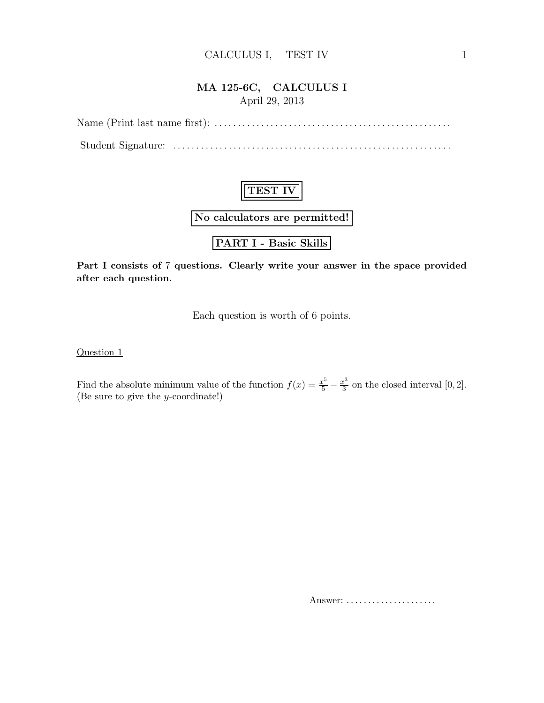### CALCULUS I, TEST IV 1

## MA 125-6C, CALCULUS I April 29, 2013



Part I consists of 7 questions. Clearly write your answer in the space provided after each question.

Each question is worth of 6 points.

Question 1

Find the absolute minimum value of the function  $f(x) = \frac{x^5}{5}$  $\overline{5}$   $$  $x^3$  $\frac{c^3}{3}$  on the closed interval [0, 2]. (Be sure to give the y-coordinate!)

Answer: . . . . . . . . . . . . . . . . . . . . .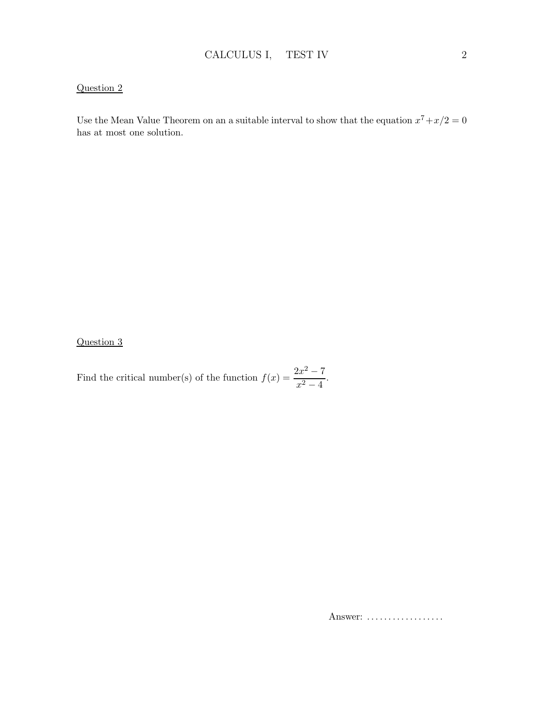## Question 2

Use the Mean Value Theorem on an a suitable interval to show that the equation  $x^7 + x/2 = 0$ has at most one solution.

Question 3

Find the critical number(s) of the function  $f(x) = \frac{2x^2 - 7}{x^2 - 4}$  $\frac{x^2-4}{x^2-4}$ 

Answer: ..................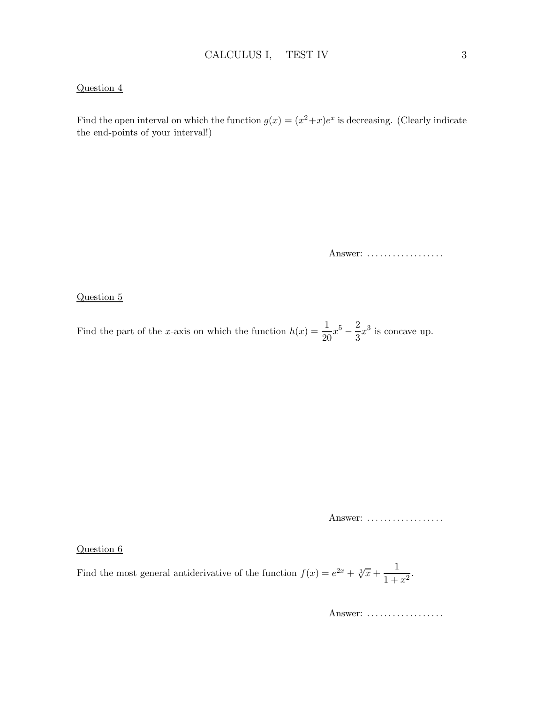#### Question 4

Find the open interval on which the function  $g(x) = (x^2 + x)e^x$  is decreasing. (Clearly indicate the end-points of your interval!)

Answer: ..................

#### Question 5

Find the part of the x-axis on which the function  $h(x) = \frac{1}{20}x^5$ 2  $\frac{2}{3}x^3$  is concave up.

Answer: ..................

#### Question 6

Find the most general antiderivative of the function  $f(x) = e^{2x} + \sqrt[3]{x} + \frac{1}{1+x^2}$  $\frac{1}{1+x^2}$ .

Answer: ..................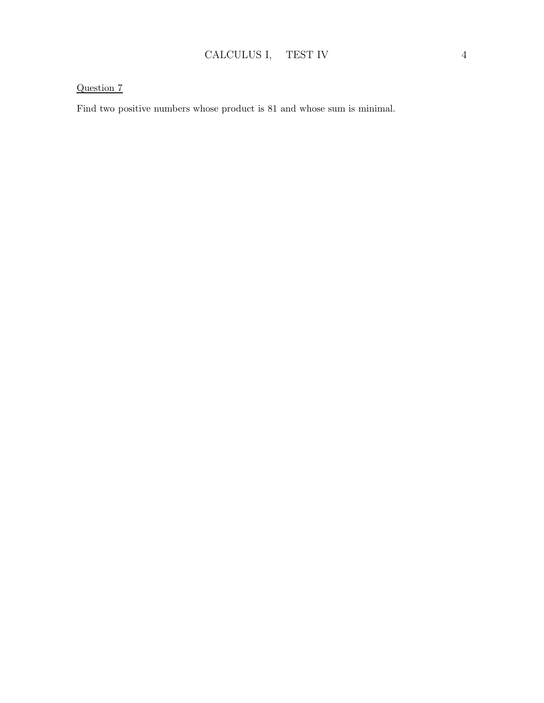## Question 7

Find two positive numbers whose product is 81 and whose sum is minimal.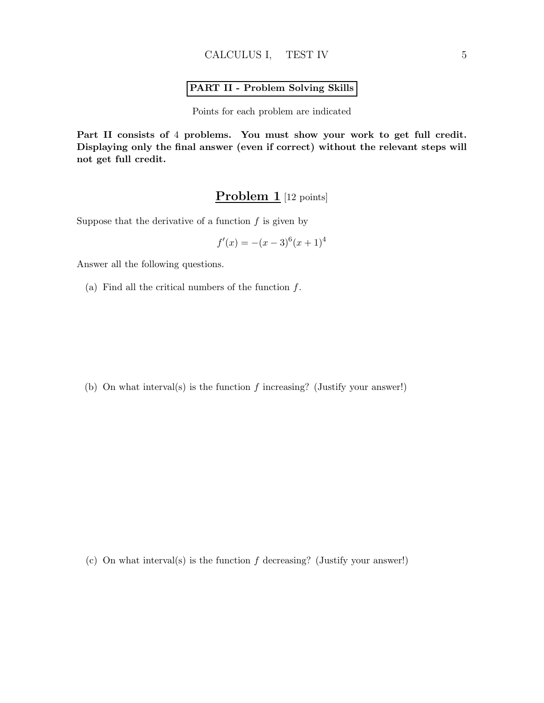## PART II - Problem Solving Skills

Points for each problem are indicated

Part II consists of 4 problems. You must show your work to get full credit. Displaying only the final answer (even if correct) without the relevant steps will not get full credit.

# Problem 1 [12 points]

Suppose that the derivative of a function  $f$  is given by

$$
f'(x) = -(x-3)^6(x+1)^4
$$

Answer all the following questions.

(a) Find all the critical numbers of the function  $f$ .

(b) On what interval(s) is the function  $f$  increasing? (Justify your answer!)

(c) On what interval(s) is the function  $f$  decreasing? (Justify your answer!)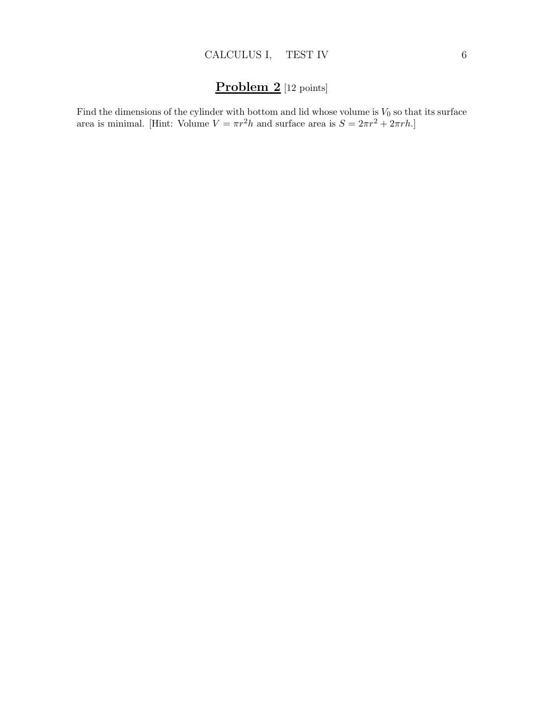# Problem 2 [12 points]

Find the dimensions of the cylinder with bottom and lid whose volume is  $V_0$  so that its surface area is minimal. [Hint: Volume  $V = \pi r^2 h$  and surface area is  $S = 2\pi r^2 + 2\pi rh$ .]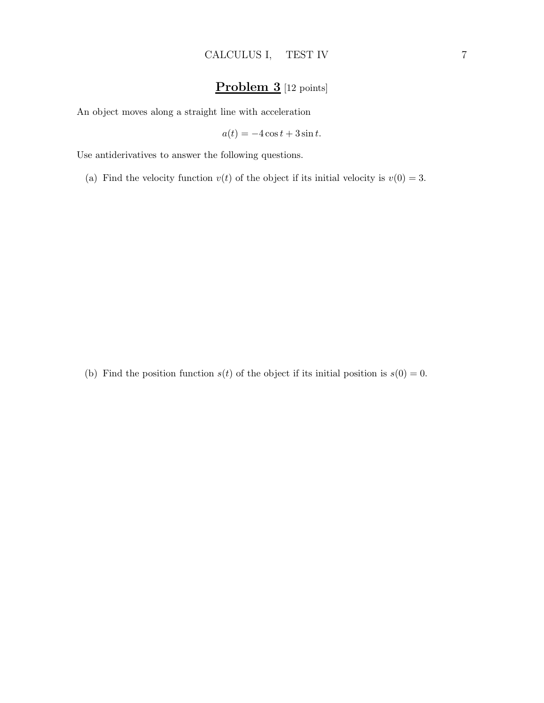# Problem 3 [12 points]

An object moves along a straight line with acceleration

$$
a(t) = -4\cos t + 3\sin t.
$$

Use antiderivatives to answer the following questions.

(a) Find the velocity function  $v(t)$  of the object if its initial velocity is  $v(0) = 3$ .

(b) Find the position function  $s(t)$  of the object if its initial position is  $s(0) = 0$ .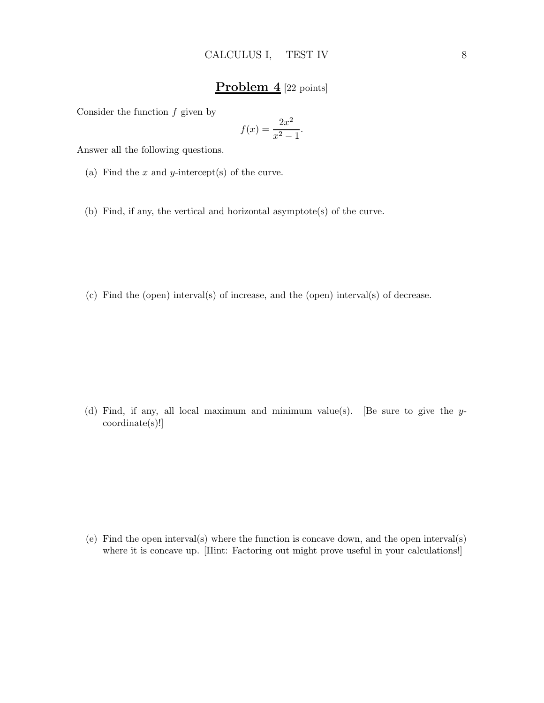## Problem 4 [22 points]

Consider the function  $f$  given by

$$
f(x) = \frac{2x^2}{x^2 - 1}.
$$

Answer all the following questions.

(a) Find the  $x$  and  $y$ -intercept(s) of the curve.

(b) Find, if any, the vertical and horizontal asymptote(s) of the curve.

(c) Find the (open) interval(s) of increase, and the (open) interval(s) of decrease.

(d) Find, if any, all local maximum and minimum value(s). [Be sure to give the ycoordinate(s)!]

(e) Find the open interval(s) where the function is concave down, and the open interval(s) where it is concave up. [Hint: Factoring out might prove useful in your calculations!]